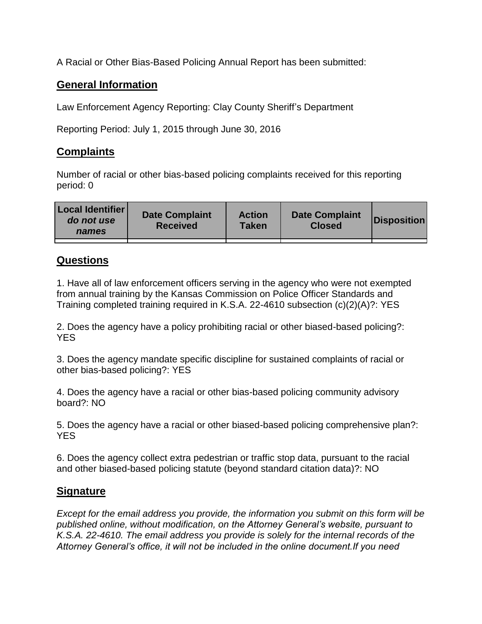A Racial or Other Bias-Based Policing Annual Report has been submitted:

## **General Information**

Law Enforcement Agency Reporting: Clay County Sheriff's Department

Reporting Period: July 1, 2015 through June 30, 2016

## **Complaints**

Number of racial or other bias-based policing complaints received for this reporting period: 0

| <b>Local Identifier</b><br>do not use<br>names | <b>Date Complaint</b><br><b>Received</b> | <b>Action</b><br><b>Taken</b> | <b>Date Complaint</b><br><b>Closed</b> | Disposition |
|------------------------------------------------|------------------------------------------|-------------------------------|----------------------------------------|-------------|
|                                                |                                          |                               |                                        |             |

## **Questions**

1. Have all of law enforcement officers serving in the agency who were not exempted from annual training by the Kansas Commission on Police Officer Standards and Training completed training required in K.S.A. 22-4610 subsection (c)(2)(A)?: YES

2. Does the agency have a policy prohibiting racial or other biased-based policing?: YES

3. Does the agency mandate specific discipline for sustained complaints of racial or other bias-based policing?: YES

4. Does the agency have a racial or other bias-based policing community advisory board?: NO

5. Does the agency have a racial or other biased-based policing comprehensive plan?: YES

6. Does the agency collect extra pedestrian or traffic stop data, pursuant to the racial and other biased-based policing statute (beyond standard citation data)?: NO

## **Signature**

*Except for the email address you provide, the information you submit on this form will be published online, without modification, on the Attorney General's website, pursuant to K.S.A. 22-4610. The email address you provide is solely for the internal records of the Attorney General's office, it will not be included in the online document.If you need*